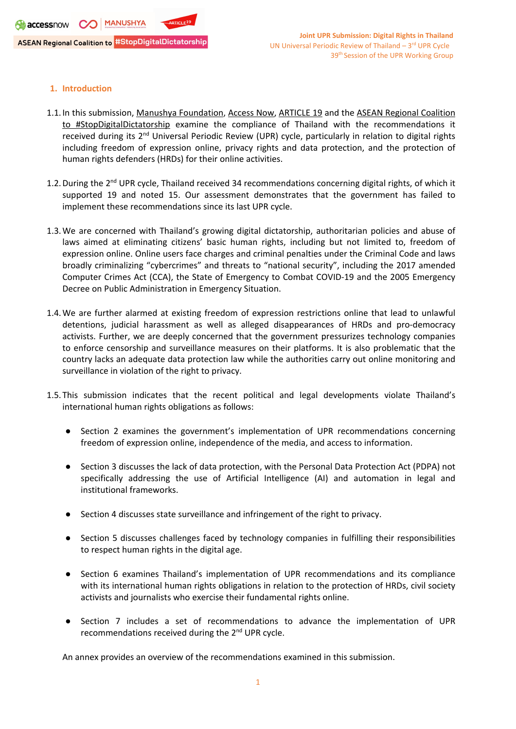# **1. Introduction**

- 1.1. In this submission, Manushya [Foundation](https://www.manushyafoundation.org/), [Access](https://www.accessnow.org/) Now, [ARTICLE](https://www.article19.org/) 19 and the ASEAN [Regional](https://www.manushyafoundation.org/stop-digital-dictatorship-campaign) Coalition to [#StopDigitalDictatorship](https://www.manushyafoundation.org/stop-digital-dictatorship-campaign) examine the compliance of Thailand with the recommendations it received during its 2<sup>nd</sup> Universal Periodic Review (UPR) cycle, particularly in relation to digital rights including freedom of expression online, privacy rights and data protection, and the protection of human rights defenders (HRDs) for their online activities.
- 1.2. During the 2<sup>nd</sup> UPR cycle, Thailand received 34 recommendations concerning digital rights, of which it supported 19 and noted 15. Our assessment demonstrates that the government has failed to implement these recommendations since its last UPR cycle.
- 1.3.We are concerned with Thailand'<sup>s</sup> growing digital dictatorship, authoritarian policies and abuse of laws aimed at eliminating citizens' basic human rights, including but not limited to, freedom of expression online. Online users face charges and criminal penalties under the Criminal Code and laws broadly criminalizing "cybercrimes" and threats to "national security", including the 2017 amended Computer Crimes Act (CCA), the State of Emergency to Combat COVID-19 and the 2005 Emergency Decree on Public Administration in Emergency Situation.
- 1.4.We are further alarmed at existing freedom of expression restrictions online that lead to unlawful detentions, judicial harassment as well as alleged disappearances of HRDs and pro-democracy activists. Further, we are deeply concerned that the government pressurizes technology companies to enforce censorship and surveillance measures on their platforms. It is also problematic that the country lacks an adequate data protection law while the authorities carry out online monitoring and surveillance in violation of the right to privacy.
- 1.5.This submission indicates that the recent political and legal developments violate Thailand'<sup>s</sup> international human rights obligations as follows:
	- $\bullet$  Section 2 examines the government'<sup>s</sup> implementation of UPR recommendations concerning freedom of expression online, independence of the media, and access to information.
	- $\bullet$  Section 3 discusses the lack of data protection, with the Personal Data Protection Act (PDPA) not specifically addressing the use of Artificial Intelligence (AI) and automation in legal and institutional frameworks.
	- Section 4 discusses state surveillance and infringement of the right to privacy.
	- Section 5 discusses challenges faced by technology companies in fulfilling their responsibilities to respect human rights in the digital age.
	- Section 6 examines Thailand's implementation of UPR recommendations and its compliance with its international human rights obligations in relation to the protection of HRDs, civil society activists and journalists who exercise their fundamental rights online.
	- Section 7 includes <sup>a</sup> set of recommendations to advance the implementation of UPR recommendations received during the 2<sup>nd</sup> UPR cycle.

An annex provides an overview of the recommendations examined in this submission.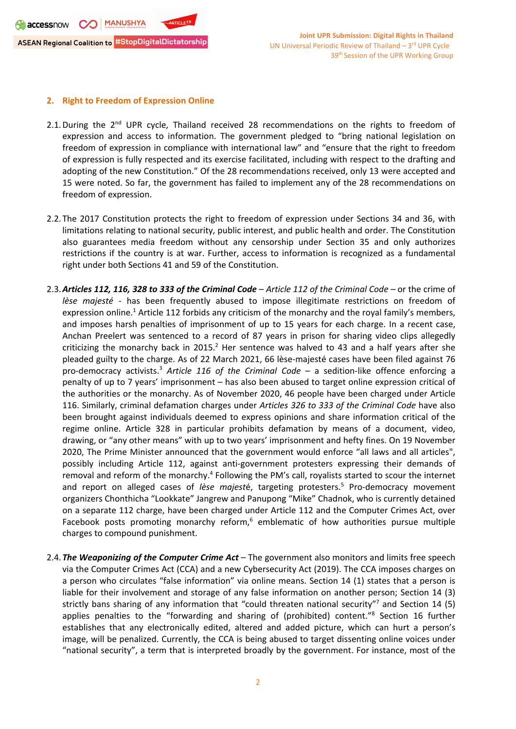**S** accessnow CO MANUSHYA **ASEAN Regional Coalition to #StopDigitalDictatorship** 

### **2. Right to Freedom of Expression Online**

- 2.1. During the 2<sup>nd</sup> UPR cycle, Thailand received 28 recommendations on the rights to freedom of expression and access to information. The government pledged to "bring national legislation on freedom of expression in compliance with international law" and "ensure that the right to freedom of expression is fully respected and its exercise facilitated, including with respect to the drafting and adopting of the new Constitution." Of the 28 recommendations received, only 13 were accepted and 15 were noted. So far, the government has failed to implement any of the 28 recommendations on freedom of expression.
- 2.2.The 2017 Constitution protects the right to freedom of expression under Sections 34 and 36, with limitations relating to national security, public interest, and public health and order. The Constitution also guarantees media freedom without any censorship under Section 35 and only authorizes restrictions if the country is at war. Further, access to information is recognized as <sup>a</sup> fundamental right under both Sections 41 and 59 of the Constitution.
- 2.3.*Articles 112, 116, 328 to 333 of the Criminal Code Article 112 of the Criminal Code* or the crime of *lèse majesté* - has been frequently abused to impose illegitimate restrictions on freedom of expression online.<sup>1</sup> Article 112 forbids any criticism of the monarchy and the royal family's members, and imposes harsh penalties of imprisonment of up to 15 years for each charge. In <sup>a</sup> recent case, Anchan Preelert was sentenced to <sup>a</sup> record of 87 years in prison for sharing video clips allegedly criticizing the monarchy back in 2015. $^2$  Her sentence was halved to 43 and a half years after she pleaded guilty to the charge. As of 22 March 2021, 66 lèse-majesté cases have been filed against 76 pro-democracy activists. 3 *Article 116 of the Criminal Code* – <sup>a</sup> sedition-like offence enforcing <sup>a</sup> penalty of up to 7 years' imprisonment – has also been abused to target online expression critical of the authorities or the monarchy. As of November 2020, 46 people have been charged under Article 116. Similarly, criminal defamation charges under *Articles 326 to 333 of the Criminal Code* have also been brought against individuals deemed to express opinions and share information critical of the regime online. Article 328 in particular prohibits defamation by means of <sup>a</sup> document, video, drawing, or "any other means" with up to two years' imprisonment and hefty fines. On 19 November 2020, The Prime Minister announced that the government would enforce "all laws and all articles", possibly including Article 112, against anti-government protesters expressing their demands of removal and reform of the monarchy.<sup>4</sup> Following the PM's call, royalists started to scour the internet and report on alleged cases of *lèse majest*é, targeting protesters. 5 Pro-democracy movement organizers Chonthicha "Lookkate" Jangrew and Panupong "Mike" Chadnok, who is currently detained on <sup>a</sup> separate 112 charge, have been charged under Article 112 and the Computer Crimes Act, over Facebook posts promoting monarchy reform, $^6$  emblematic of how authorities pursue multiple charges to compound punishment.
- 2.4.*The Weaponizing of the Computer Crime Act* The government also monitors and limits free speech via the Computer Crimes Act (CCA) and <sup>a</sup> new Cybersecurity Act (2019). The CCA imposes charges on <sup>a</sup> person who circulates "false information" via online means. Section 14 (1) states that <sup>a</sup> person is liable for their involvement and storage of any false information on another person; Section 14 (3) strictly bans sharing of any information that "could threaten national security"<sup>7</sup> and Section 14 (5) applies penalties to the "forwarding and sharing of (prohibited) content." 8 Section 16 further establishes that any electronically edited, altered and added picture, which can hurt <sup>a</sup> person'<sup>s</sup> image, will be penalized. Currently, the CCA is being abused to target dissenting online voices under "national security", <sup>a</sup> term that is interpreted broadly by the government. For instance, most of the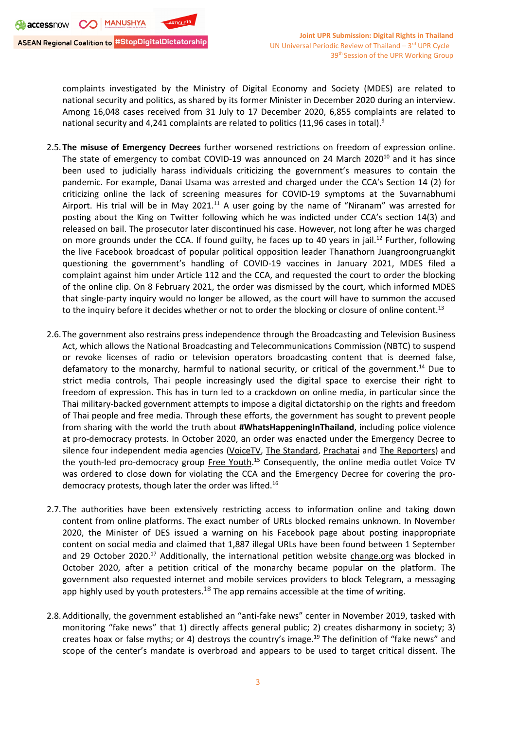complaints investigated by the Ministry of Digital Economy and Society (MDES) are related to national security and politics, as shared by its former Minister in December 2020 during an interview. Among 16,048 cases received from 31 July to 17 December 2020, 6,855 complaints are related to national security and 4,241 complaints are related to politics (11,96 cases in total). $^{\text{\textregistered}}$ 

- 2.5.**The misuse of Emergency Decrees** further worsened restrictions on freedom of expression online. The state of emergency to combat COVID-19 was announced on 24 March 2020<sup>10</sup> and it has since been used to judicially harass individuals criticizing the government'<sup>s</sup> measures to contain the pandemic. For example, Danai Usama was arrested and charged under the CCA'<sup>s</sup> Section 14 (2) for criticizing online the lack of screening measures for COVID-19 symptoms at the Suvarnabhumi Airport. His trial will be in May 2021.<sup>11</sup> A user going by the name of "Niranam" was arrested for posting about the King on Twitter following which he was indicted under CCA'<sup>s</sup> section 14(3) and released on bail. The prosecutor later discontinued his case. However, not long after he was charged on more grounds under the CCA. If found guilty, he faces up to 40 years in jail.<sup>12</sup> Further, following the live Facebook broadcast of popular political opposition leader Thanathorn Juangroongruangkit questioning the government'<sup>s</sup> handling of COVID-19 vaccines in January 2021, MDES filed <sup>a</sup> complaint against him under Article 112 and the CCA, and requested the court to order the blocking of the online clip. On 8 February 2021, the order was dismissed by the court, which informed MDES that single-party inquiry would no longer be allowed, as the court will have to summon the accused to the inquiry before it decides whether or not to order the blocking or closure of online content.<sup>13</sup>
- 2.6.The government also restrains press independence through the Broadcasting and Television Business Act, which allows the National Broadcasting and Telecommunications Commission (NBTC) to suspend or revoke licenses of radio or television operators broadcasting content that is deemed false, defamatory to the monarchy, harmful to national security, or critical of the government.<sup>14</sup> Due to strict media controls, Thai people increasingly used the digital space to exercise their right to freedom of expression. This has in turn led to <sup>a</sup> crackdown on online media, in particular since the Thai military-backed government attempts to impose <sup>a</sup> digital dictatorship on the rights and freedom of Thai people and free media. Through these efforts, the government has sought to prevent people from sharing with the world the truth about **#WhatsHappeningInThailand**, including police violence at pro-democracy protests. In October 2020, an order was enacted under the Emergency Decree to silence four independent media agencies ([VoiceTV](https://www.instagram.com/voicetv/), [T](https://www.instagram.com/thestandardth.ig/)he [Standard](https://www.instagram.com/thestandardth.ig/), [Prachatai](https://www.instagram.com/prachatai_ig/) and The [Reporters](https://www.instagram.com/the.reportersth/)) and the youth-led pro-democracy group Free [Youth](https://www.instagram.com/freeyouth.ig/).<sup>15</sup> Consequently, the online media outlet Voice TV was ordered to close down for violating the CCA and the Emergency Decree for covering the prodemocracy protests, though later the order was lifted.<sup>16</sup>
- 2.7.The authorities have been extensively restricting access to information online and taking down content from online platforms. The exact number of URLs blocked remains unknown. In November 2020, the Minister of DES issued <sup>a</sup> warning on his Facebook page about posting inappropriate content on social media and claimed that 1,887 illegal URLs have been found between 1 September and 29 October 2020.<sup>17</sup> Additionally, the international petition website change.org was blocked in October 2020, after <sup>a</sup> petition critical of the monarchy became popular on the platform. The government also requested internet and mobile services providers to block Telegram, <sup>a</sup> messaging app highly used by youth protesters.  $^{18}$  The app remains accessible at the time of writing.
- 2.8.Additionally, the government established an "anti-fake news" center in November 2019, tasked with monitoring "fake news" that 1) directly affects general public; 2) creates disharmony in society; 3) creates hoax or false myths; or 4) destroys the country's image.<sup>19</sup> The definition of "fake news" and scope of the center'<sup>s</sup> mandate is overbroad and appears to be used to target critical dissent. The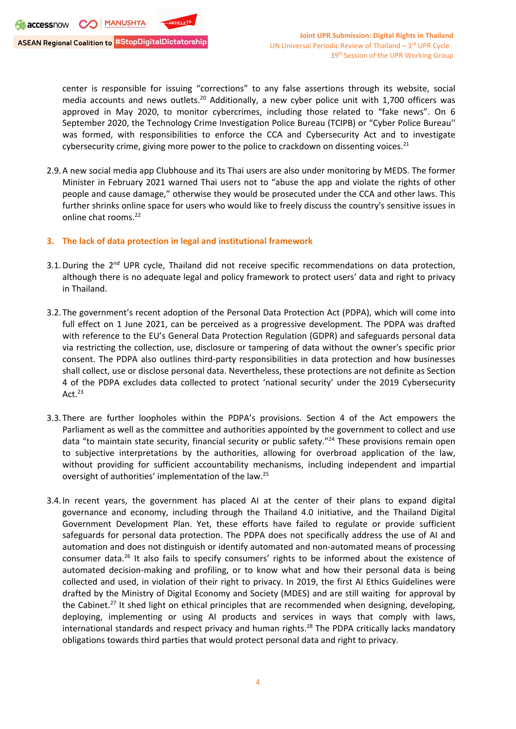center is responsible for issuing "corrections" to any false assertions through its website, social media accounts and news outlets.<sup>20</sup> Additionally, a new cyber police unit with 1,700 officers was approved in May 2020, to monitor cybercrimes, including those related to "fake news". On 6 September 2020, the Technology Crime Investigation Police Bureau (TCIPB) or "Cyber Police Bureau'' was formed, with responsibilities to enforce the CCA and Cybersecurity Act and to investigate cybersecurity crime, giving more power to the police to crackdown on dissenting voices.<sup>21</sup>

- 2.9.A new social media app Clubhouse and its Thai users are also under monitoring by MEDS. The former Minister in February 2021 warned Thai users not to "abuse the app and violate the rights of other people and cause damage," otherwise they would be prosecuted under the CCA and other laws. This further shrinks online space for users who would like to freely discuss the country's sensitive issues in online chat rooms.<sup>22</sup>
- **3. The lack of data protection in legal and institutional framework**
- 3.1. During the 2<sup>nd</sup> UPR cycle, Thailand did not receive specific recommendations on data protection, although there is no adequate legal and policy framework to protect users' data and right to privacy in Thailand.
- 3.2.The government'<sup>s</sup> recent adoption of the Personal Data Protection Act (PDPA), which will come into full effect on 1 June 2021, can be perceived as <sup>a</sup> progressive development. The PDPA was drafted with reference to the EU'<sup>s</sup> General Data Protection Regulation (GDPR) and safeguards personal data via restricting the collection, use, disclosure or tampering of data without the owner's specific prior consent. The PDPA also outlines third-party responsibilities in data protection and how businesses shall collect, use or disclose personal data. Nevertheless, these protections are not definite as Section 4 of the PDPA excludes data collected to protect 'national security' under the 2019 Cybersecurity Act. $^{\rm 23}$
- 3.3.There are further loopholes within the PDPA'<sup>s</sup> provisions. Section 4 of the Act empowers the Parliament as well as the committee and authorities appointed by the government to collect and use data "to maintain state security, financial security or public safety."<sup>24</sup> These provisions remain open to subjective interpretations by the authorities, allowing for overbroad application of the law, without providing for sufficient accountability mechanisms, including independent and impartial oversight of authorities' implementation of the law.<sup>25</sup>
- 3.4.In recent years, the government has placed AI at the center of their plans to expand digital governance and economy, including through the Thailand 4.0 initiative, and the Thailand Digital Government Development Plan. Yet, these efforts have failed to regulate or provide sufficient safeguards for personal data protection. The PDPA does not specifically address the use of AI and automation and does not distinguish or identify automated and non-automated means of processing consumer data.<sup>26</sup> It also fails to specify consumers' rights to be informed about the existence of automated decision-making and profiling, or to know what and how their personal data is being collected and used, in violation of their right to privacy. In 2019, the first AI Ethics Guidelines were drafted by the Ministry of Digital Economy and Society (MDES) and are still waiting for approval by the Cabinet.<sup>27</sup> It shed light on ethical principles that are recommended when designing, developing, deploying, implementing or using AI products and services in ways that comply with laws, international standards and respect privacy and human rights.<sup>28</sup> The PDPA critically lacks mandatory obligations towards third parties that would protect personal data and right to privacy.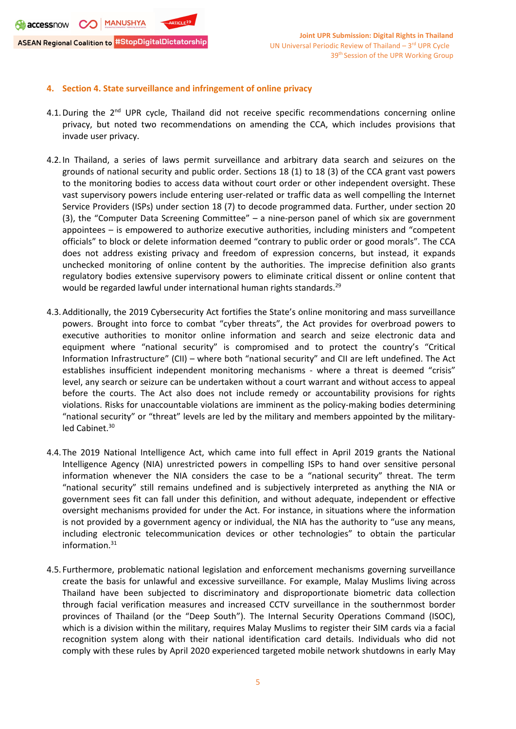**S** accessnow CO MANUSHYA **ASEAN Regional Coalition to #StopDigitalDictatorship** 

# **4. Section 4. State surveillance and infringement of online privacy**

- 4.1. During the 2<sup>nd</sup> UPR cycle, Thailand did not receive specific recommendations concerning online privacy, but noted two recommendations on amending the CCA, which includes provisions that invade user privacy.
- 4.2.In Thailand, <sup>a</sup> series of laws permit surveillance and arbitrary data search and seizures on the grounds of national security and public order. Sections 18 (1) to 18 (3) of the CCA grant vast powers to the monitoring bodies to access data without court order or other independent oversight. These vast supervisory powers include entering user-related or traffic data as well compelling the Internet Service Providers (ISPs) under section 18 (7) to decode programmed data. Further, under section 20 (3), the "Computer Data Screening Committee" – <sup>a</sup> nine-person panel of which six are government appointees – is empowered to authorize executive authorities, including ministers and "competent officials" to block or delete information deemed "contrary to public order or good morals". The CCA does not address existing privacy and freedom of expression concerns, but instead, it expands unchecked monitoring of online content by the authorities. The imprecise definition also grants regulatory bodies extensive supervisory powers to eliminate critical dissent or online content that would be regarded lawful under international human rights standards.<sup>29</sup>
- 4.3.Additionally, the 2019 Cybersecurity Act fortifies the State'<sup>s</sup> online monitoring and mass surveillance powers. Brought into force to combat "cyber threats", the Act provides for overbroad powers to executive authorities to monitor online information and search and seize electronic data and equipment where "national security" is compromised and to protect the country'<sup>s</sup> "Critical Information Infrastructure" (CII) – where both "national security" and CII are left undefined. The Act establishes insufficient independent monitoring mechanisms - where <sup>a</sup> threat is deemed "crisis" level, any search or seizure can be undertaken without <sup>a</sup> court warrant and without access to appeal before the courts. The Act also does not include remedy or accountability provisions for rights violations. Risks for unaccountable violations are imminent as the policy-making bodies determining "national security" or "threat" levels are led by the military and members appointed by the militaryled Cabinet.<sup>30</sup>
- 4.4.The 2019 National Intelligence Act, which came into full effect in April 2019 grants the National Intelligence Agency (NIA) unrestricted powers in compelling ISPs to hand over sensitive personal information whenever the NIA considers the case to be <sup>a</sup> "national security" threat. The term "national security" still remains undefined and is subjectively interpreted as anything the NIA or government sees fit can fall under this definition, and without adequate, independent or effective oversight mechanisms provided for under the Act. For instance, in situations where the information is not provided by <sup>a</sup> government agency or individual, the NIA has the authority to "use any means, including electronic telecommunication devices or other technologies" to obtain the particular information. 31
- 4.5. Furthermore, problematic national legislation and enforcement mechanisms governing surveillance create the basis for unlawful and excessive surveillance. For example, Malay Muslims living across Thailand have been subjected to discriminatory and disproportionate biometric data collection through facial verification measures and increased CCTV surveillance in the southernmost border provinces of Thailand (or the "Deep South"). The Internal Security Operations Command (ISOC), which is <sup>a</sup> division within the military, requires Malay Muslims to register their SIM cards via <sup>a</sup> facial recognition system along with their national identification card details. Individuals who did not comply with these rules by April 2020 experienced targeted mobile network shutdowns in early May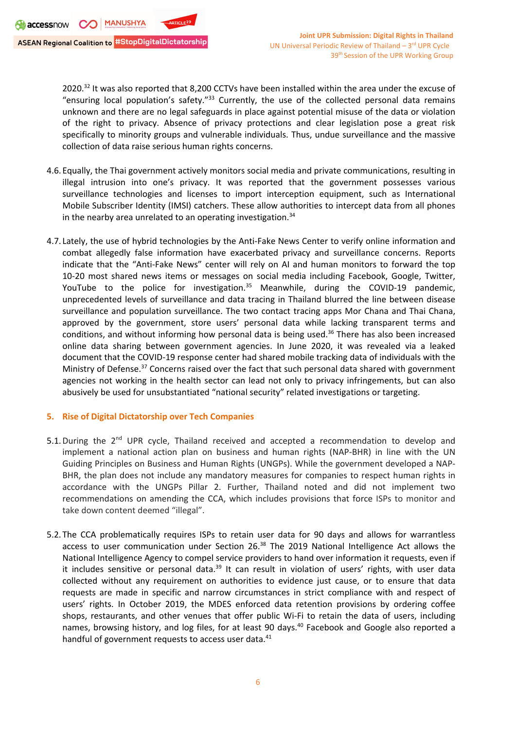2020.<sup>32</sup> It was also reported that 8,200 CCTVs have been installed within the area under the excuse of "ensuring local population's safety."<sup>33</sup> Currently, the use of the collected personal data remains unknown and there are no legal safeguards in place against potential misuse of the data or violation of the right to privacy. Absence of privacy protections and clear legislation pose <sup>a</sup> great risk specifically to minority groups and vulnerable individuals. Thus, undue surveillance and the massive collection of data raise serious human rights concerns.

- 4.6.Equally, the Thai government actively monitors social media and private communications, resulting in illegal intrusion into one'<sup>s</sup> privacy. It was reported that the government possesses various surveillance technologies and licenses to import interception equipment, such as International Mobile Subscriber Identity (IMSI) catchers. These allow authorities to intercept data from all phones in the nearby area unrelated to an operating investigation. 34
- 4.7. Lately, the use of hybrid technologies by the Anti-Fake News Center to verify online information and combat allegedly false information have exacerbated privacy and surveillance concerns. Reports indicate that the "Anti-Fake News" center will rely on AI and human monitors to forward the top 10-20 most shared news items or messages on social media including Facebook, Google, Twitter, YouTube to the police for investigation.<sup>35</sup> Meanwhile, during the COVID-19 pandemic, unprecedented levels of surveillance and data tracing in Thailand blurred the line between disease surveillance and population surveillance. The two contact tracing apps Mor Chana and Thai Chana, approved by the government, store users' personal data while lacking transparent terms and conditions, and without informing how personal data is being used. 36 There has also been increased online data sharing between government agencies. In June 2020, it was revealed via <sup>a</sup> leaked document that the COVID-19 response center had shared mobile tracking data of individuals with the Ministry of Defense.<sup>37</sup> Concerns raised over the fact that such personal data shared with government agencies not working in the health sector can lead not only to privacy infringements, but can also abusively be used for unsubstantiated "national security" related investigations or targeting.

### **5. Rise of Digital Dictatorship over Tech Companies**

- 5.1. During the 2<sup>nd</sup> UPR cycle, Thailand received and accepted a recommendation to develop and implement <sup>a</sup> national action plan on business and human rights (NAP-BHR) in line with the UN Guiding Principles on Business and Human Rights (UNGPs). While the government developed <sup>a</sup> NAP-BHR, the plan does not include any mandatory measures for companies to respect human rights in accordance with the UNGPs Pillar 2. Further, Thailand noted and did not implement two recommendations on amending the CCA, which includes provisions that force ISPs to monitor and take down content deemed "illegal".
- 5.2.The CCA problematically requires ISPs to retain user data for 90 days and allows for warrantless access to user communication under Section 26.<sup>38</sup> The 2019 National Intelligence Act allows the National Intelligence Agency to compel service providers to hand over information it requests, even if it includes sensitive or personal data.<sup>39</sup> It can result in violation of users' rights, with user data collected without any requirement on authorities to evidence just cause, or to ensure that data requests are made in specific and narrow circumstances in strict compliance with and respect of users' rights. In October 2019, the MDES enforced data retention provisions by ordering coffee shops, restaurants, and other venues that offer public Wi-Fi to retain the data of users, including names, browsing history, and log files, for at least 90 days. 40 Facebook and Google also reported <sup>a</sup> handful of government requests to access user data.<sup>41</sup>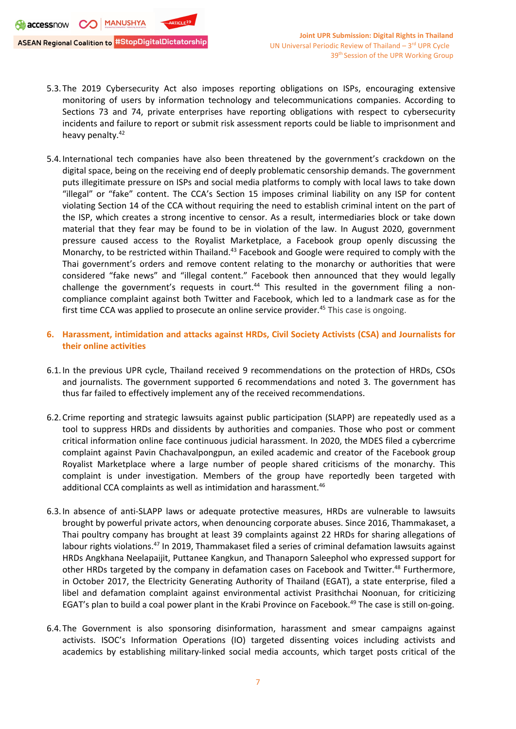- 5.3.The 2019 Cybersecurity Act also imposes reporting obligations on ISPs, encouraging extensive monitoring of users by information technology and telecommunications companies. According to Sections 73 and 74, private enterprises have reporting obligations with respect to cybersecurity incidents and failure to report or submit risk assessment reports could be liable to imprisonment and heavy penalty.<sup>42</sup>
- 5.4.International tech companies have also been threatened by the government'<sup>s</sup> crackdown on the digital space, being on the receiving end of deeply problematic censorship demands. The government puts illegitimate pressure on ISPs and social media platforms to comply with local laws to take down "illegal" or "fake" content. The CCA'<sup>s</sup> Section 15 imposes criminal liability on any ISP for content violating Section 14 of the CCA without requiring the need to establish criminal intent on the part of the ISP, which creates <sup>a</sup> strong incentive to censor. As <sup>a</sup> result, intermediaries block or take down material that they fear may be found to be in violation of the law. In August 2020, government pressure caused access to the Royalist Marketplace, <sup>a</sup> Facebook group openly discussing the Monarchy, to be restricted within Thailand.<sup>43</sup> Facebook and Google were required to comply with the Thai government'<sup>s</sup> orders and remove content relating to the monarchy or authorities that were considered "fake news" and "illegal content." Facebook then announced that they would legally challenge the government's requests in court.<sup>44</sup> This resulted in the government filing a noncompliance complaint against both Twitter and Facebook, which led to <sup>a</sup> landmark case as for the first time CCA was applied to prosecute an online service provider.<sup>45</sup> This case is ongoing.
- **6. Harassment, intimidation and attacks against HRDs, Civil Society Activists (CSA) and Journalists for their online activities**
- 6.1.In the previous UPR cycle, Thailand received 9 recommendations on the protection of HRDs, CSOs and journalists. The government supported 6 recommendations and noted 3. The government has thus far failed to effectively implement any of the received recommendations.
- 6.2.Crime reporting and strategic lawsuits against public participation (SLAPP) are repeatedly used as <sup>a</sup> tool to suppress HRDs and dissidents by authorities and companies. Those who post or comment critical information online face continuous judicial harassment. In 2020, the MDES filed <sup>a</sup> cybercrime complaint against Pavin Chachavalpongpun, an exiled academic and creator of the Facebook group Royalist Marketplace where <sup>a</sup> large number of people shared criticisms of the monarchy. This complaint is under investigation. Members of the group have reportedly been targeted with additional CCA complaints as well as intimidation and harassment.<sup>46</sup>
- 6.3.In absence of anti-SLAPP laws or adequate protective measures, HRDs are vulnerable to lawsuits brought by powerful private actors, when denouncing corporate abuses. Since 2016, Thammakaset, <sup>a</sup> Thai poultry company has brought at least 39 complaints against 22 HRDs for sharing allegations of labour rights violations.<sup>47</sup> In 2019, Thammakaset filed a series of criminal defamation lawsuits against HRDs Angkhana Neelapaijit, Puttanee Kangkun, and Thanaporn Saleephol who expressed support for other HRDs targeted by the company in defamation cases on Facebook and Twitter.<sup>48</sup> Furthermore, in October 2017, the Electricity Generating Authority of Thailand (EGAT), <sup>a</sup> state enterprise, filed <sup>a</sup> libel and defamation complaint against environmental activist Prasithchai Noonuan, for criticizing EGAT's plan to build a coal power plant in the Krabi Province on Facebook.<sup>49</sup> The case is still on-going.
- 6.4.The Government is also sponsoring disinformation, harassment and smear campaigns against activists. ISOC'<sup>s</sup> Information Operations (IO) targeted dissenting voices including activists and academics by establishing military-linked social media accounts, which target posts critical of the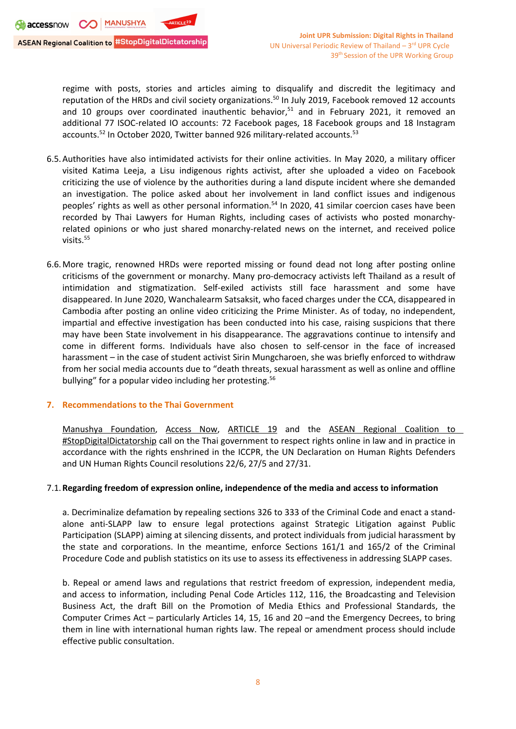regime with posts, stories and articles aiming to disqualify and discredit the legitimacy and reputation of the HRDs and civil society organizations.<sup>50</sup> In July 2019, Facebook removed 12 accounts and 10 groups over coordinated inauthentic behavior,<sup>51</sup> and in February 2021, it removed an additional 77 ISOC-related IO accounts: 72 Facebook pages, 18 Facebook groups and 18 Instagram accounts.<sup>52</sup> In October 2020, Twitter banned 926 military-related accounts.<sup>53</sup>

- 6.5.Authorities have also intimidated activists for their online activities. In May 2020, <sup>a</sup> military officer visited Katima Leeja, <sup>a</sup> Lisu indigenous rights activist, after she uploaded <sup>a</sup> video on Facebook criticizing the use of violence by the authorities during <sup>a</sup> land dispute incident where she demanded an investigation. The police asked about her involvement in land conflict issues and indigenous peoples' rights as well as other personal information.<sup>54</sup> In 2020, 41 similar coercion cases have been recorded by Thai Lawyers for Human Rights, including cases of activists who posted monarchyrelated opinions or who just shared monarchy-related news on the internet, and received police visits. 55
- 6.6.More tragic, renowned HRDs were reported missing or found dead not long after posting online criticisms of the government or monarchy. Many pro-democracy activists left Thailand as <sup>a</sup> result of intimidation and stigmatization. Self-exiled activists still face harassment and some have disappeared. In June 2020, Wanchalearm Satsaksit, who faced charges under the CCA, disappeared in Cambodia after posting an online video criticizing the Prime Minister. As of today, no independent, impartial and effective investigation has been conducted into his case, raising suspicions that there may have been State involvement in his disappearance. The aggravations continue to intensify and come in different forms. Individuals have also chosen to self-censor in the face of increased harassment – in the case of student activist Sirin Mungcharoen, she was briefly enforced to withdraw from her social media accounts due to "death threats, sexual harassment as well as online and offline bullying" for a popular video including her protesting.<sup>56</sup>

### **7. Recommendations to the Thai Government**

Manushya [Foundation](https://www.manushyafoundation.org/), [Access](https://www.accessnow.org/) Now, [ARTICLE](https://www.article19.org/) 19 and the ASEAN [Regional](https://www.manushyafoundation.org/stop-digital-dictatorship-campaign) Coalition to [#StopDigitalDictatorship](https://www.manushyafoundation.org/stop-digital-dictatorship-campaign) call on the Thai government to respect rights online in law and in practice in accordance with the rights enshrined in the ICCPR, the UN Declaration on Human Rights Defenders and UN Human Rights Council resolutions 22/6, 27/5 and 27/31.

### 7.1.**Regarding freedom of expression online, independence of the media and access to information**

a. Decriminalize defamation by repealing sections 326 to 333 of the Criminal Code and enact <sup>a</sup> standalone anti-SLAPP law to ensure legal protections against Strategic Litigation against Public Participation (SLAPP) aiming at silencing dissents, and protect individuals from judicial harassment by the state and corporations. In the meantime, enforce Sections 161/1 and 165/2 of the Criminal Procedure Code and publish statistics on its use to assess its effectiveness in addressing SLAPP cases.

b. Repeal or amend laws and regulations that restrict freedom of expression, independent media, and access to information, including Penal Code Articles 112, 116, the Broadcasting and Television Business Act, the draft Bill on the Promotion of Media Ethics and Professional Standards, the Computer Crimes Act – particularly Articles 14, 15, 16 and 20 –and the Emergency Decrees, to bring them in line with international human rights law. The repeal or amendment process should include effective public consultation.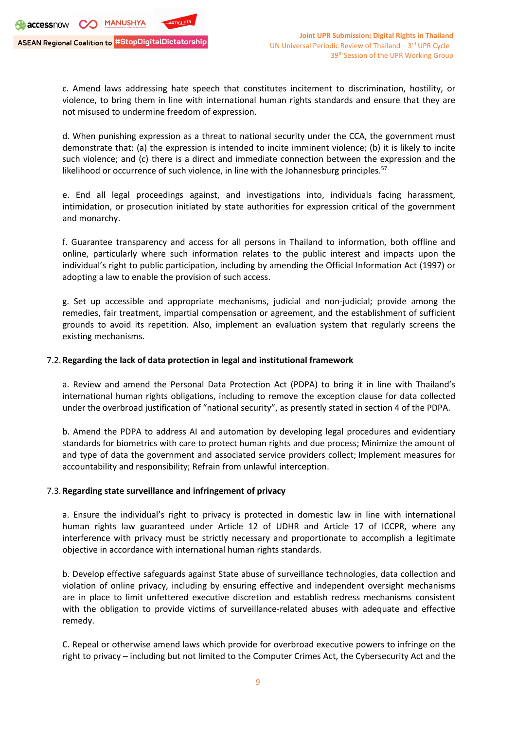c. Amend laws addressing hate speech that constitutes incitement to discrimination, hostility, or violence, to bring them in line with international human rights standards and ensure that they are not misused to undermine freedom of expression.

d. When punishing expression as <sup>a</sup> threat to national security under the CCA, the government must demonstrate that: (a) the expression is intended to incite imminent violence; (b) it is likely to incite such violence; and (c) there is <sup>a</sup> direct and immediate connection between the expression and the likelihood or occurrence of such violence, in line with the Johannesburg principles.<sup>57</sup>

e. End all legal proceedings against, and investigations into, individuals facing harassment, intimidation, or prosecution initiated by state authorities for expression critical of the government and monarchy.

f. Guarantee transparency and access for all persons in Thailand to information, both offline and online, particularly where such information relates to the public interest and impacts upon the individual'<sup>s</sup> right to public participation, including by amending the Official Information Act (1997) or adopting <sup>a</sup> law to enable the provision of such access.

g. Set up accessible and appropriate mechanisms, judicial and non-judicial; provide among the remedies, fair treatment, impartial compensation or agreement, and the establishment of sufficient grounds to avoid its repetition. Also, implement an evaluation system that regularly screens the existing mechanisms.

# 7.2.**Regarding the lack of data protection in legal and institutional framework**

a. Review and amend the Personal Data Protection Act (PDPA) to bring it in line with Thailand'<sup>s</sup> international human rights obligations, including to remove the exception clause for data collected under the overbroad justification of "national security", as presently stated in section 4 of the PDPA.

b. Amend the PDPA to address AI and automation by developing legal procedures and evidentiary standards for biometrics with care to protect human rights and due process; Minimize the amount of and type of data the government and associated service providers collect; Implement measures for accountability and responsibility; Refrain from unlawful interception.

### 7.3.**Regarding state surveillance and infringement of privacy**

a. Ensure the individual'<sup>s</sup> right to privacy is protected in domestic law in line with international human rights law guaranteed under Article 12 of UDHR and Article 17 of ICCPR, where any interference with privacy must be strictly necessary and proportionate to accomplish <sup>a</sup> legitimate objective in accordance with international human rights standards.

b. Develop effective safeguards against State abuse of surveillance technologies, data collection and violation of online privacy, including by ensuring effective and independent oversight mechanisms are in place to limit unfettered executive discretion and establish redress mechanisms consistent with the obligation to provide victims of surveillance-related abuses with adequate and effective remedy.

C. Repeal or otherwise amend laws which provide for overbroad executive powers to infringe on the right to privacy – including but not limited to the Computer Crimes Act, the Cybersecurity Act and the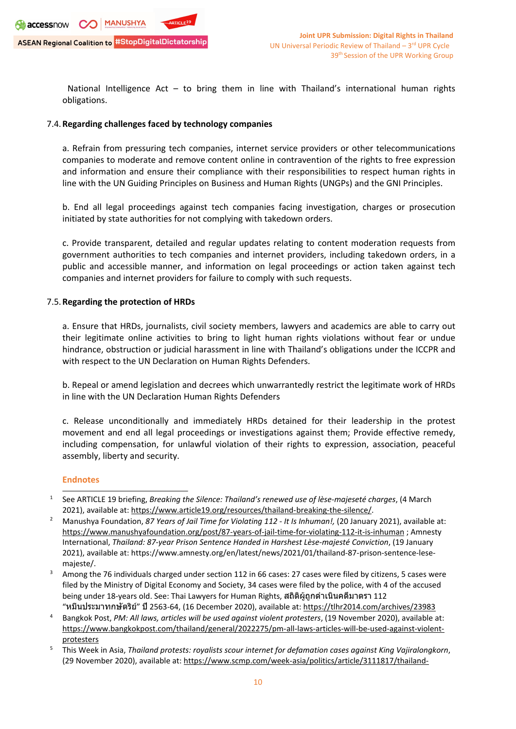

National Intelligence Act – to bring them in line with Thailand'<sup>s</sup> international human rights obligations.

### 7.4.**Regarding challenges faced by technology companies**

a. Refrain from pressuring tech companies, internet service providers or other telecommunications companies to moderate and remove content online in contravention of the rights to free expression and information and ensure their compliance with their responsibilities to respect human rights in line with the UN Guiding Principles on Business and Human Rights (UNGPs) and the GNI Principles.

b. End all legal proceedings against tech companies facing investigation, charges or prosecution initiated by state authorities for not complying with takedown orders.

c. Provide transparent, detailed and regular updates relating to content moderation requests from government authorities to tech companies and internet providers, including takedown orders, in <sup>a</sup> public and accessible manner, and information on legal proceedings or action taken against tech companies and internet providers for failure to comply with such requests.

# 7.5.**Regarding the protection of HRDs**

a. Ensure that HRDs, journalists, civil society members, lawyers and academics are able to carry out their legitimate online activities to bring to light human rights violations without fear or undue hindrance, obstruction or judicial harassment in line with Thailand'<sup>s</sup> obligations under the ICCPR and with respect to the UN Declaration on Human Rights Defenders.

b. Repeal or amend legislation and decrees which unwarrantedly restrict the legitimate work of HRDs in line with the UN Declaration Human Rights Defenders

c. Release unconditionally and immediately HRDs detained for their leadership in the protest movement and end all legal proceedings or investigations against them; Provide effective remedy, including compensation, for unlawful violation of their rights to expression, association, peaceful assembly, liberty and security.

### **Endnotes**

<sup>1</sup> See ARTICLE 19 briefing, *Breaking the Silence: Thailand'<sup>s</sup> renewed use of lèse-majeseté charges*, (4 March 2021), available at: <https://www.article19.org/resources/thailand-breaking-the-silence/>.

<sup>2</sup> Manushya Foundation, *<sup>87</sup> Years of Jail Time for Violating <sup>112</sup> - It Is Inhuman!,* (20 January 2021), available at: <https://www.manushyafoundation.org/post/87-years-of-jail-time-for-violating-112-it-is-inhuman> ; Amnesty International, *Thailand: 87-year Prison Sentence Handed in Harshest Lèse-majesté Conviction*, (19 January 2021), available at: https://www.amnesty.org/en/latest/news/2021/01/thailand-87-prison-sentence-lesemajeste/.

<sup>3</sup> Among the 76 individuals charged under section 112 in 66 cases: 27 cases were filed by citizens, 5 cases were filed by the Ministry of Digital Economy and Society, 34 cases were filed by the police, with 4 of the accused being under 18-years old. See: Thai Lawyers for Human Rights, สถิติผู้ถูกดำเนินคดีมาตรา <sup>112</sup> "หมิ่นประมาทกษัตริย์" ปี2563-64, (16 December 2020), available at: <https://tlhr2014.com/archives/23983>

<sup>4</sup> Bangkok Post, *PM: All laws, articles will be used against violent protesters*, (19 November 2020), available at: [https://www.bangkokpost.com/thailand/general/2022275/pm-all-laws-articles-will-be-used-against-violent](https://www.bangkokpost.com/thailand/general/2022275/pm-all-laws-articles-will-be-used-against-violent-protesters)[protesters](https://www.bangkokpost.com/thailand/general/2022275/pm-all-laws-articles-will-be-used-against-violent-protesters)

<sup>5</sup> This Week in Asia, *Thailand protests: royalists scour internet for defamation cases against King Vajiralongkorn*, (29 November 2020), available at: [https://www.scmp.com/week-asia/politics/article/3111817/thailand-](https://www.scmp.com/week-asia/politics/article/3111817/thailand-protests-royalists-scour-internet-defamation-cases)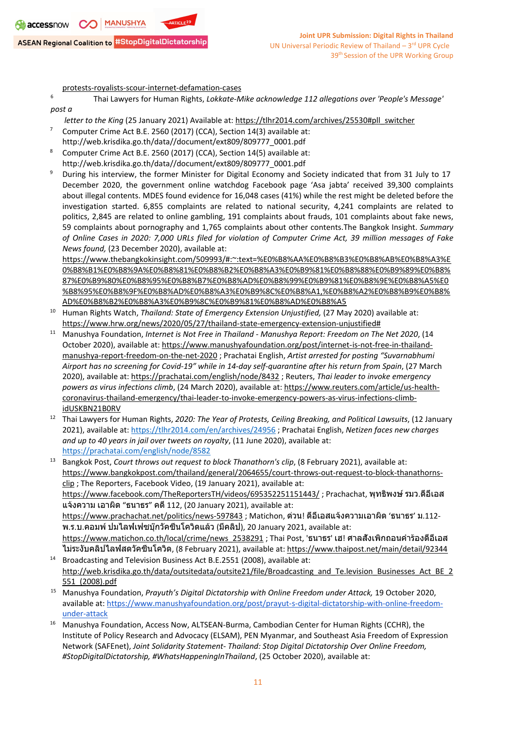[protests-royalists-scour-internet-defamation-cases](https://www.scmp.com/week-asia/politics/article/3111817/thailand-protests-royalists-scour-internet-defamation-cases)

- 6 Thai Lawyers for Human Rights, *Lokkate-Mike acknowledge 112 allegations over 'People's Message' post <sup>a</sup>*
- *letter to the King* (25 January 2021) Available at: [https://tlhr2014.com/archives/25530#pll\\_switcher](https://tlhr2014.com/archives/25530#pll_switcher)
- 7 Computer Crime Act B.E. 2560 (2017) (CCA), Section 14(3) available at:
- [http://web.krisdika.go.th/data//document/ext809/809777\\_0001.pdf](http://web.krisdika.go.th/data/document/ext809/809777_0001.pdf)
- 8 Computer Crime Act B.E. 2560 (2017) (CCA), Section 14(5) available at: [http://web.krisdika.go.th/data//document/ext809/809777\\_0001.pdf](http://web.krisdika.go.th/data/document/ext809/809777_0001.pdf)
- 9 During his interview, the former Minister for Digital Economy and Society indicated that from 31 July to 17 December 2020, the government online watchdog Facebook page 'Asa jabta' received 39,300 complaints about illegal contents. MDES found evidence for 16,048 cases (41%) while the rest might be deleted before the investigation started. 6,855 complaints are related to national security, 4,241 complaints are related to politics, 2,845 are related to online gambling, 191 complaints about frauds, 101 complaints about fake news, 59 complaints about pornography and 1,765 complaints about other contents.The Bangkok Insight. *Summary* of Online Cases in 2020: 7,000 URLs filed for violation of Computer Crime Act, 39 million messages of Fake *News found,* (23 December 2020), available at:

[https://www.thebangkokinsight.com/509993/#:~:text=%E0%B8%AA%E0%B8%B3%E0%B8%AB%E0%B8%A3%E](https://www.thebangkokinsight.com/509993/#:~:text=%E0%B8%AA%E0%B8%B3%E0%B8%AB%E0%B8%A3%E0%B8%B1%E0%B8%9A%E0%B8%81%E0%B8%B2%E0%B8%A3%E0%B9%81%E0%B8%88%E0%B9%89%E0%B8%87%E0%B9%80%E0%B8%95%E0%B8%B7%E0%B8%AD%E0%B8%99%E0%B9%81%E0%B8%9E%E0%B8%A5%E0%B8%95%E0%B8%9F%E0%B8%AD%E0%B8%A3%E0%B9%8C%E0%B8%A1,%E0%B8%A2%E0%B8%B9%E0%B8%AD%E0%B8%B2%E0%B8%A3%E0%B9%8C%E0%B9%81%E0%B8%AD%E0%B8%A5) [0%B8%B1%E0%B8%9A%E0%B8%81%E0%B8%B2%E0%B8%A3%E0%B9%81%E0%B8%88%E0%B9%89%E0%B8%](https://www.thebangkokinsight.com/509993/#:~:text=%E0%B8%AA%E0%B8%B3%E0%B8%AB%E0%B8%A3%E0%B8%B1%E0%B8%9A%E0%B8%81%E0%B8%B2%E0%B8%A3%E0%B9%81%E0%B8%88%E0%B9%89%E0%B8%87%E0%B9%80%E0%B8%95%E0%B8%B7%E0%B8%AD%E0%B8%99%E0%B9%81%E0%B8%9E%E0%B8%A5%E0%B8%95%E0%B8%9F%E0%B8%AD%E0%B8%A3%E0%B9%8C%E0%B8%A1,%E0%B8%A2%E0%B8%B9%E0%B8%AD%E0%B8%B2%E0%B8%A3%E0%B9%8C%E0%B9%81%E0%B8%AD%E0%B8%A5) [87%E0%B9%80%E0%B8%95%E0%B8%B7%E0%B8%AD%E0%B8%99%E0%B9%81%E0%B8%9E%E0%B8%A5%E0](https://www.thebangkokinsight.com/509993/#:~:text=%E0%B8%AA%E0%B8%B3%E0%B8%AB%E0%B8%A3%E0%B8%B1%E0%B8%9A%E0%B8%81%E0%B8%B2%E0%B8%A3%E0%B9%81%E0%B8%88%E0%B9%89%E0%B8%87%E0%B9%80%E0%B8%95%E0%B8%B7%E0%B8%AD%E0%B8%99%E0%B9%81%E0%B8%9E%E0%B8%A5%E0%B8%95%E0%B8%9F%E0%B8%AD%E0%B8%A3%E0%B9%8C%E0%B8%A1,%E0%B8%A2%E0%B8%B9%E0%B8%AD%E0%B8%B2%E0%B8%A3%E0%B9%8C%E0%B9%81%E0%B8%AD%E0%B8%A5) [%B8%95%E0%B8%9F%E0%B8%AD%E0%B8%A3%E0%B9%8C%E0%B8%A1,%E0%B8%A2%E0%B8%B9%E0%B8%](https://www.thebangkokinsight.com/509993/#:~:text=%E0%B8%AA%E0%B8%B3%E0%B8%AB%E0%B8%A3%E0%B8%B1%E0%B8%9A%E0%B8%81%E0%B8%B2%E0%B8%A3%E0%B9%81%E0%B8%88%E0%B9%89%E0%B8%87%E0%B9%80%E0%B8%95%E0%B8%B7%E0%B8%AD%E0%B8%99%E0%B9%81%E0%B8%9E%E0%B8%A5%E0%B8%95%E0%B8%9F%E0%B8%AD%E0%B8%A3%E0%B9%8C%E0%B8%A1,%E0%B8%A2%E0%B8%B9%E0%B8%AD%E0%B8%B2%E0%B8%A3%E0%B9%8C%E0%B9%81%E0%B8%AD%E0%B8%A5) [AD%E0%B8%B2%E0%B8%A3%E0%B9%8C%E0%B9%81%E0%B8%AD%E0%B8%A5](https://www.thebangkokinsight.com/509993/#:~:text=%E0%B8%AA%E0%B8%B3%E0%B8%AB%E0%B8%A3%E0%B8%B1%E0%B8%9A%E0%B8%81%E0%B8%B2%E0%B8%A3%E0%B9%81%E0%B8%88%E0%B9%89%E0%B8%87%E0%B9%80%E0%B8%95%E0%B8%B7%E0%B8%AD%E0%B8%99%E0%B9%81%E0%B8%9E%E0%B8%A5%E0%B8%95%E0%B8%9F%E0%B8%AD%E0%B8%A3%E0%B9%8C%E0%B8%A1,%E0%B8%A2%E0%B8%B9%E0%B8%AD%E0%B8%B2%E0%B8%A3%E0%B9%8C%E0%B9%81%E0%B8%AD%E0%B8%A5)

- 10 Human Rights Watch, *Thailand: State of Emergency Extension Unjustified,* (27 May 2020) available at: [https://www.hrw.org/news/2020/05/27/thailand-state-emergency-extension-unjustified#](https://www.hrw.org/news/2020/05/27/thailand-state-emergency-extension-unjustified)
- <sup>11</sup> Manushya Foundation, *Internet is Not Free in Thailand - Manushya Report: Freedom on The Net <sup>2020</sup>*, (14 October 2020), available at: [https://www.manushyafoundation.org/post/internet-is-not-free-in-thailand](https://www.manushyafoundation.org/post/internet-is-not-free-in-thailand-manushya-report-freedom-on-the-net-2020)[manushya-report-freedom-on-the-net-2020](https://www.manushyafoundation.org/post/internet-is-not-free-in-thailand-manushya-report-freedom-on-the-net-2020) ; Prachatai English, *Artist arrested for posting "Suvarnabhumi Airport has no screening for Covid-19" while in 14-day self-quarantine after his return from Spain*, (27 March 2020), available at: <https://prachatai.com/english/node/8432> ; Reuters, *Thai leader to invoke emergency powers as virus infections climb*, (24 March 2020), available at: [https://www.reuters.com/article/us-health](https://www.reuters.com/article/us-health-coronavirus-thailand-emergency/thai-leader-to-invoke-emergency-powers-as-virus-infections-climb-idUSKBN21B0RV)[coronavirus-thailand-emergency/thai-leader-to-invoke-emergency-powers-as-virus-infections-climb](https://www.reuters.com/article/us-health-coronavirus-thailand-emergency/thai-leader-to-invoke-emergency-powers-as-virus-infections-climb-idUSKBN21B0RV)[idUSKBN21B0RV](https://www.reuters.com/article/us-health-coronavirus-thailand-emergency/thai-leader-to-invoke-emergency-powers-as-virus-infections-climb-idUSKBN21B0RV)
- 12 Thai Lawyers for Human Rights, *2020: The Year of Protests, Ceiling Breaking, and Political Lawsuits*, (12 January 2021), available at: <https://tlhr2014.com/en/archives/24956> ; Prachatai English, *Netizen faces new charges and up to 40 years in jail over tweets on royalty*, (11 June 2020), available at: <https://prachatai.com/english/node/8582>
- 13 Bangkok Post, *Court throws out request to block Thanathorn's clip*, (8 February 2021), available at: [https://www.bangkokpost.com/thailand/general/2064655/court-throws-out-request-to-block-thanathorns](https://www.bangkokpost.com/thailand/general/2064655/court-throws-out-request-to-block-thanathorns-clip)[clip](https://www.bangkokpost.com/thailand/general/2064655/court-throws-out-request-to-block-thanathorns-clip) ; The Reporters, Facebook Video, (19 January 2021), available at: <https://www.facebook.com/TheReportersTH/videos/695352251151443/> ; Prachachat, พุทธิพงษ์รมว.ดีอีเอส แจ้งความ เอาผิด "ธนาธร" คดี112, (20 January 2021), available at: <https://www.prachachat.net/politics/news-597843> ; Matichon, ด่วน! ดีอีเอสแจ้งความเอาผิด 'ธนาธร' <sup>ม</sup>.112- <sup>พ</sup>.ร.บ.คอมพ์ปมไลฟ์เฟซบุ๊กวัคซีนโควิดแล้ว (มีคลิป), <sup>20</sup> January 2021, available at: [https://www.matichon.co.th/local/crime/news\\_2538291](https://www.matichon.co.th/local/crime/news_2538291) ; Thai Post, 'ธนาธร' เฮ! ศาลสั่งเพิกถอนคำร้องดีอีเอส ไม่ระงับคลิปไลฟ์สดวัคซีนโควิด, (8 February 2021), available at: <https://www.thaipost.net/main/detail/92344>
- 14 Broadcasting and Television Business Act B.E.2551 (2008), available at: [http://web.krisdika.go.th/data/outsitedata/outsite21/file/Broadcasting\\_and\\_Te.levision\\_Businesses\\_Act\\_BE\\_2](http://web.krisdika.go.th/data/outsitedata/outsite21/file/Broadcasting_and_Te.levision_Businesses_Act_BE_2551_(2008).pdf) [551\\_\(2008\).pdf](http://web.krisdika.go.th/data/outsitedata/outsite21/file/Broadcasting_and_Te.levision_Businesses_Act_BE_2551_(2008).pdf)
- <sup>15</sup> Manushya Foundation, *Prayuth'<sup>s</sup> Digital Dictatorship with Online Freedom under Attack,* <sup>19</sup> October 2020, available at: [https://www.manushyafoundation.org/post/prayut-s-digital-dictatorship-with-online-freedom](https://www.manushyafoundation.org/post/prayut-s-digital-dictatorship-with-online-freedom-under-attack)[under-attack](https://www.manushyafoundation.org/post/prayut-s-digital-dictatorship-with-online-freedom-under-attack)
- <sup>16</sup> Manushya Foundation, Access Now, ALTSEAN-Burma, Cambodian Center for Human Rights (CCHR), the Institute of Policy Research and Advocacy (ELSAM), PEN Myanmar, and Southeast Asia Freedom of Expression Network (SAFEnet), *Joint Solidarity Statement- Thailand: Stop Digital Dictatorship Over Online Freedom, #StopDigitalDictatorship, #WhatsHappeningInThailand*, (25 October 2020), available at: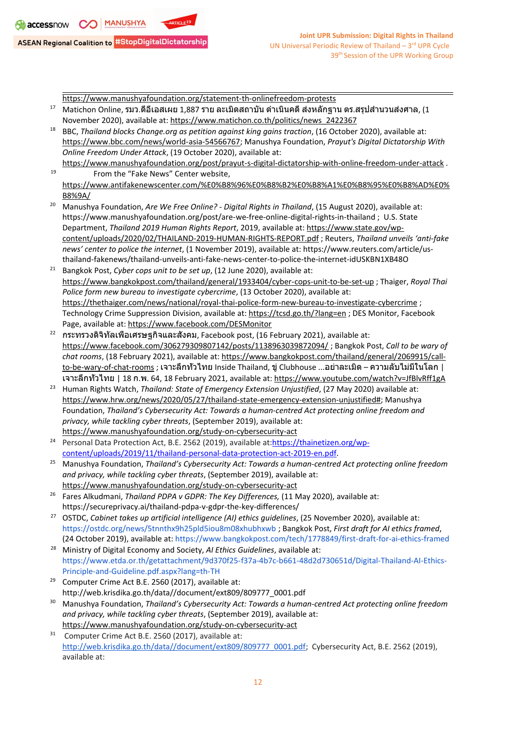<https://www.manushyafoundation.org/statement-th-onlinefreedom-protests>

- $^{17}$  Matichon Online, รมว.ดีอีเอสเผย 1,887 ราย ละเมิดสถาบัน ดำเนินคดี ส่งหลักฐาน ตร.สรุปสำนวนส่งศาล, (1 November 2020), available at: [https://www.matichon.co.th/politics/news\\_2422367](https://www.matichon.co.th/politics/news_2422367)
- 18 BBC, *Thailand blocks Change.org as petition against king gains traction*, (16 October 2020), available at: <https://www.bbc.com/news/world-asia-54566767>; Manushya Foundation, *Prayut's Digital Dictatorship With Online Freedom Under Attack*, (19 October 2020), available at:
- <https://www.manushyafoundation.org/post/prayut-s-digital-dictatorship-with-online-freedom-under-attack> . 19 From the "Fake News" Center website,
- [https://www.antifakenewscenter.com/%E0%B8%96%E0%B8%B2%E0%B8%A1%E0%B8%95%E0%B8%AD%E0%](https://www.antifakenewscenter.com/%E0%B8%96%E0%B8%B2%E0%B8%A1%E0%B8%95%E0%B8%AD%E0%B8%9A/) [B8%9A/](https://www.antifakenewscenter.com/%E0%B8%96%E0%B8%B2%E0%B8%A1%E0%B8%95%E0%B8%AD%E0%B8%9A/)
- <sup>20</sup> Manushya Foundation, *Are We Free Online? - Digital Rights in Thailand*, (15 August 2020), available at: https://www.manushyafoundation.org/post/are-we-free-online-digital-rights-in-thailand ; U.S. State Department, *Thailand 2019 Human Rights Report*, 2019, available at: [https://www.state.gov/wp](https://www.state.gov/wp-content/uploads/2020/02/THAILAND-2019-HUMAN-RIGHTS-REPORT.pdf)[content/uploads/2020/02/THAILAND-2019-HUMAN-RIGHTS-REPORT.pdf](https://www.state.gov/wp-content/uploads/2020/02/THAILAND-2019-HUMAN-RIGHTS-REPORT.pdf) ; Reuters, *Thailand unveils 'anti-fake news' center to police the internet*, (1 November 2019), available at: https://www.reuters.com/article/usthailand-fakenews/thailand-unveils-anti-fake-news-center-to-police-the-internet-idUSKBN1XB48O
- 21 Bangkok Post, *Cyber cops unit to be set up*, (12 June 2020), available at: <https://www.bangkokpost.com/thailand/general/1933404/cyber-cops-unit-to-be-set-up> ; Thaiger, *Royal Thai Police form new bureau to investigate cybercrime*, (13 October 2020), available at: <https://thethaiger.com/news/national/royal-thai-police-form-new-bureau-to-investigate-cybercrime> ; Technology Crime Suppression Division, available at: <https://tcsd.go.th/?lang=en> ; DES Monitor, Facebook Page, available at: <https://www.facebook.com/DESMonitor>
- 22 กระทรวงดิจิทัลเพื่อเศรษฐกิจและสังคม, Facebook post, (16 February 2021), available at: <https://www.facebook.com/306279309807142/posts/1138963039872094/> ; Bangkok Post, *Call to be wary of chat rooms*, (18 February 2021), available at: [https://www.bangkokpost.com/thailand/general/2069915/call](https://www.bangkokpost.com/thailand/general/2069915/call-to-be-wary-of-chat-rooms)[to-be-wary-of-chat-rooms](https://www.bangkokpost.com/thailand/general/2069915/call-to-be-wary-of-chat-rooms) ; เจาะลึกทั่วไทย Inside Thailand, ขู่ Clubhouse ...อย่าละเมิด – ความลับไม่มีในโลก | เจาะลึกทั่วไทย | <sup>18</sup> <sup>ก</sup>.พ. 64, <sup>18</sup> February 2021, available at: <https://www.youtube.com/watch?v=JfBlvRff1gA>
- 23 Human Rights Watch, *Thailand: State of Emergency Extension Unjustified*, (27 May 2020) available at: [https://www.hrw.org/news/2020/05/27/thailand-state-emergency-extension-unjustified#](https://www.hrw.org/news/2020/05/27/thailand-state-emergency-extension-unjustified); Manushya Foundation, *Thailand'<sup>s</sup> Cybersecurity Act: Towards <sup>a</sup> human-centred Act protecting online freedom and privacy, while tackling cyber threats*, (September 2019), available at: <https://www.manushyafoundation.org/study-on-cybersecurity-act>
- 24 Personal Data Protection Act, B.E. 2562 (2019), available at:[https://thainetizen.org/wp](https://thainetizen.org/wp-content/uploads/2019/11/thailand-personal-data-protection-act-2019-en.pdf)[content/uploads/2019/11/thailand-personal-data-protection-act-2019-en.pdf](https://thainetizen.org/wp-content/uploads/2019/11/thailand-personal-data-protection-act-2019-en.pdf).
- <sup>25</sup> Manushya Foundation, *Thailand'<sup>s</sup> Cybersecurity Act: Towards <sup>a</sup> human-centred Act protecting online freedom and privacy, while tackling cyber threats*, (September 2019), available at: <https://www.manushyafoundation.org/study-on-cybersecurity-act>
- 26 Fares Alkudmani, *Thailand PDPA <sup>v</sup> GDPR: The Key Differences,* (11 May 2020), available at: <https://secureprivacy.ai/thailand-pdpa-v-gdpr-the-key-differences/>
- 27 OSTDC, *Cabinet takes up artificial intelligence (AI) ethics guidelines*, (25 November 2020), available at: <https://ostdc.org/news/5tnnthx9h25pld5iou8m08xhubhxwb> ; Bangkok Post, *First draft for AI ethics framed*, (24 October 2019), available at: <https://www.bangkokpost.com/tech/1778849/first-draft-for-ai-ethics-framed>
- <sup>28</sup> Ministry of Digital Economy and Society, *AI Ethics Guidelines*, available at: [https://www.etda.or.th/getattachment/9d370f25-f37a-4b7c-b661-48d2d730651d/Digital-Thailand-AI-Ethics-](https://www.etda.or.th/getattachment/9d370f25-f37a-4b7c-b661-48d2d730651d/Digital-Thailand-AI-Ethics-Principle-and-Guideline.pdf.aspx?lang=th-TH)[Principle-and-Guideline.pdf.aspx?lang=th-TH](https://www.etda.or.th/getattachment/9d370f25-f37a-4b7c-b661-48d2d730651d/Digital-Thailand-AI-Ethics-Principle-and-Guideline.pdf.aspx?lang=th-TH)
- 29 Computer Crime Act B.E. 2560 (2017), available at: [http://web.krisdika.go.th/data//document/ext809/809777\\_0001.pdf](http://web.krisdika.go.th/data//document/ext809/809777_0001.pdf)
- <sup>30</sup> Manushya Foundation, *Thailand'<sup>s</sup> Cybersecurity Act: Towards <sup>a</sup> human-centred Act protecting online freedom and privacy, while tackling cyber threats*, (September 2019), available at: <https://www.manushyafoundation.org/study-on-cybersecurity-act>

<sup>31</sup> Computer Crime Act B.E. 2560 (2017), available at: [http://web.krisdika.go.th/data//document/ext809/809777\\_0001.pdf](http://web.krisdika.go.th/data//document/ext809/809777_0001.pdf); Cybersecurity Act, B.E. 2562 (2019), available at: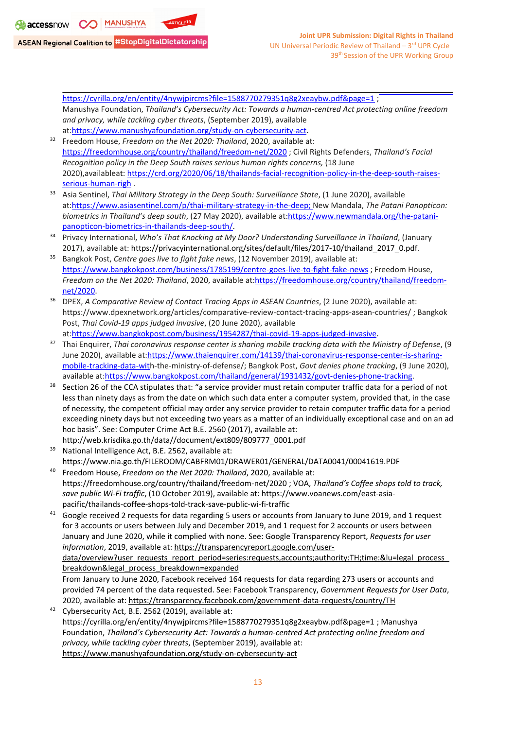[https://cyrilla.org/en/entity/4nywjpircms?file=1588770279351q8g2xeaybw.pdf&page=1](https://cyrilla.org/en/entity/4nywjpircms?file=1588770279351q8g2xeaybw.pdf&page=1%25E2%2580%258B); Manushya Foundation, *Thailand'<sup>s</sup> Cybersecurity Act: Towards <sup>a</sup> human-centred Act protecting online freedom and privacy, while tackling cyber threats*, (September 2019), available at:<https://www.manushyafoundation.org/study-on-cybersecurity-act>. 32 Freedom House, *Freedom on the Net 2020: Thailand*, 2020, available at: [https://freedomhouse.org/country/thailand/freedom-net/2020](https://freedomhouse.org/country/thailand/freedom-net/2020%25E2%2580%258B) ; Civil Rights Defenders, *Thailand'<sup>s</sup> Facial Recognition policy in the Deep South raises serious human rights concerns,* (18 June 2020),availableat: [https://crd.org/2020/06/18/thailands-facial-recognition-policy-in-the-deep-south-raises](https://crd.org/2020/06/18/thailands-facial-recognition-policy-in-the-deep-south-raises-serious-human-righ)[serious-human-righ](https://crd.org/2020/06/18/thailands-facial-recognition-policy-in-the-deep-south-raises-serious-human-righ) . 33 Asia Sentinel, *Thai Military Strategy in the Deep South: Surveillance State*, (1 June 2020), available at:[https://www.asiasentinel.com/p/thai-military-strategy-in-the-deep](https://www.asiasentinel.com/p/thai-military-strategy-in-the-deep%25E2%2580%258B); New Mandala, *The Patani Panopticon: biometrics in Thailand'<sup>s</sup> deep south*, (27 May 2020), available at:[https://www.newmandala.org/the-patani](https://www.newmandala.org/the-patani-panopticon-biometrics-in-thailands-deep-south/)[panopticon-biometrics-in-thailands-deep-south/](https://www.newmandala.org/the-patani-panopticon-biometrics-in-thailands-deep-south/). 34 Privacy International, *Who'<sup>s</sup> That Knocking at My Door? Understanding Surveillance in Thailand*, (January 2017), available at: [https://privacyinternational.org/sites/default/files/2017-10/thailand\\_2017\\_0.pdf](https://privacyinternational.org/sites/default/files/2017-10/thailand_2017_0.pdf). 35 Bangkok Post, *Centre goes live to fight fake news*, (12 November 2019), available at: [https://www.bangkokpost.com/business/1785199/centre-goes-live-to-fight-fake-news](https://www.bangkokpost.com/business/1785199/centre-goes-live-to-fight-fake-news%25E2%2580%258B) ; Freedom House, *Freedom on the Net 2020: Thailand*, 2020, available at:[https://freedomhouse.org/country/thailand/freedom](https://freedomhouse.org/country/thailand/freedom-net/2020)[net/2020](https://freedomhouse.org/country/thailand/freedom-net/2020). 36 DPEX, *A Comparative Review of Contact Tracing Apps in ASEAN Countries*, (2 June 2020), available at:

- https://www.dpexnetwork.org/articles/comparative-review-contact-tracing-apps-asean-countries/ ; Bangkok Post, *Thai Covid-19 apps judged invasive*, (20 June 2020), available at:[https://www.bangkokpost.com/business/1954287/thai-covid-19-apps-judged-invasive](https://www.bangkokpost.com/business/1954287/thai-covid-19-apps-judged-invasive%25E2%2580%258B).
- 37 Thai Enquirer, *Thai coronavirus response center is sharing mobile tracking data with the Ministry of Defense*, (9 June 2020), available at: [https://www.thaienquirer.com/14139/thai-coronavirus-response-center-is-sharing](https://www.thaienquirer.com/14139/thai-coronavirus-response-center-is-sharing-mobile-tracking-data-wit)[mobile-tracking-data-wit](https://www.thaienquirer.com/14139/thai-coronavirus-response-center-is-sharing-mobile-tracking-data-wit)h-the-ministry-of-defense/; Bangkok Post, *Govt denies phone tracking*, (9 June 2020), available at:<https://www.bangkokpost.com/thailand/general/1931432/govt-denies-phone-tracking>.
- 38 Section 26 of the CCA stipulates that: "<sup>a</sup> service provider must retain computer traffic data for <sup>a</sup> period of not less than ninety days as from the date on which such data enter <sup>a</sup> computer system, provided that, in the case of necessity, the competent official may order any service provider to retain computer traffic data for <sup>a</sup> period exceeding ninety days but not exceeding two years as <sup>a</sup> matter of an individually exceptional case and on an ad hoc basis". See: Computer Crime Act B.E. 2560 (2017), available at:
- [http://web.krisdika.go.th/data//document/ext809/809777\\_0001.pdf](http://web.krisdika.go.th/data//document/ext809/809777_0001.pdf) 39 National Intelligence Act, B.E. 2562, available at:
- <https://www.nia.go.th/FILEROOM/CABFRM01/DRAWER01/GENERAL/DATA0041/00041619.PDF> 40 Freedom House, *Freedom on the Net 2020: Thailand*, 2020, available at: <https://freedomhouse.org/country/thailand/freedom-net/2020> ; VOA, *Thailand'<sup>s</sup> Coffee shops told to track, save public Wi-Fi traffic*, (10 October 2019), available at: [https://www.voanews.com/east-asia-](https://www.voanews.com/east-asia-pacific/thailands-coffee-shops-told-track-save-public-wi-fi-traffic)
- [pacific/thailands-coffee-shops-told-track-save-public-wi-fi-traffic](https://www.voanews.com/east-asia-pacific/thailands-coffee-shops-told-track-save-public-wi-fi-traffic) 41 Google received 2 requests for data regarding 5 users or accounts from January to June 2019, and 1 request for 3 accounts or users between July and December 2019, and 1 request for 2 accounts or users between January and June 2020, while it complied with none. See: Google Transparency Report, *Requests for user information*, 2019, available at: [https://transparencyreport.google.com/user](https://transparencyreport.google.com/user-data/overview?user_requests_report_period=series:requests,accounts;authority:TH;time:&lu=legal_process_breakdown&legal_process_breakdown=expanded)data/overview?user\_requests\_report\_period=series:requests,accounts;authority:TH;time:&lu=legal\_process [breakdown&legal\\_process\\_breakdown=expanded](https://transparencyreport.google.com/user-data/overview?user_requests_report_period=series:requests,accounts;authority:TH;time:&lu=legal_process_breakdown&legal_process_breakdown=expanded) From January to June 2020, Facebook received 164 requests for data regarding 273 users or accounts and provided 74 percent of the data requested. See: Facebook Transparency, *Government Requests for User Data*, 2020, available at: <https://transparency.facebook.com/government-data-requests/country/TH> 42 Cybersecurity Act, B.E. 2562 (2019), available at:
- <https://cyrilla.org/en/entity/4nywjpircms?file=1588770279351q8g2xeaybw.pdf&page=1> ; Manushya Foundation, *Thailand'<sup>s</sup> Cybersecurity Act: Towards <sup>a</sup> human-centred Act protecting online freedom and privacy, while tackling cyber threats*, (September 2019), available at: https://www.manushyafoundation.org/study-on-cybersecurity-act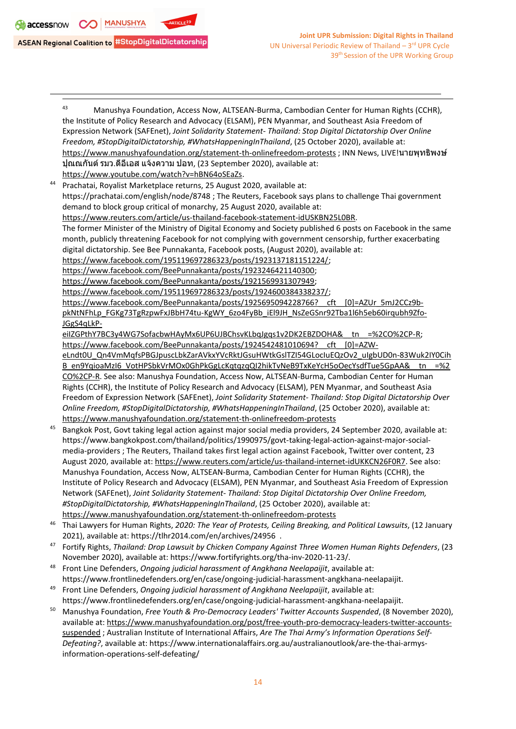

- 43 Manushya Foundation, Access Now, ALTSEAN-Burma, Cambodian Center for Human Rights (CCHR), the Institute of Policy Research and Advocacy (ELSAM), PEN Myanmar, and Southeast Asia Freedom of Expression Network (SAFEnet), *Joint Solidarity Statement- Thailand: Stop Digital Dictatorship Over Online Freedom, #StopDigitalDictatorship, #WhatsHappeningInThailand*, (25 October 2020), available at: <https://www.manushyafoundation.org/statement-th-onlinefreedom-protests> ; INN News, LIVE!นายพุทธิพงษ์ ปุณณกันต์รมว.ดีอีเอส แจ้งความ ปอท, (23 September 2020), available at: <https://www.youtube.com/watch?v=hBN64oSEaZs>. 44 Prachatai, Royalist Marketplace returns, 25 August 2020, available at: https://prachatai.com/english/node/8748 ; The Reuters, Facebook says plans to challenge Thai government demand to block group critical of monarchy, 25 August 2020, available at: <https://www.reuters.com/article/us-thailand-facebook-statement-idUSKBN25L0BR>. The former Minister of the Ministry of Digital Economy and Society published 6 posts on Facebook in the same month, publicly threatening Facebook for not complying with government censorship, further exacerbating digital dictatorship. See Bee Punnakanta, Facebook posts, (August 2020), available at: <https://www.facebook.com/195119697286323/posts/1923137181151224/>; <https://www.facebook.com/BeePunnakanta/posts/1923246421140300>; <https://www.facebook.com/BeePunnakanta/posts/1921569931307949>; <https://www.facebook.com/195119697286323/posts/1924600384338237/>; https://www.facebook.com/BeePunnakanta/posts/1925695094228766? cft [0]=AZUr 5mJ2CCz9b[pkNtNFhLp\\_FGKg73TgRzpwFxJBbH74tu-KgWY\\_6zo4FyBb\\_iEl9JH\\_NsZeGSnr92Tba1l6h5eb60irqubh9Zfo-](https://www.facebook.com/BeePunnakanta/posts/1925695094228766?__cft__%5b0%5d=AZUr_5mJ2CCz9b-pkNtNFhLp_FGKg73TgRzpwFxJBbH74tu-KgWY_6zo4FyBb_iEl9JH_NsZeGSnr92Tba1l6h5eb60irqubh9Zfo-JGgS4qLkP-eiIZGPthY7BC3y4WG7SofacbwHAyMx6UP6UJBChsvKLbqJgqs1v2DK2EBZDOHA&__tn__=%2CO%2CP-R)[JGgS4qLkP](https://www.facebook.com/BeePunnakanta/posts/1925695094228766?__cft__%5b0%5d=AZUr_5mJ2CCz9b-pkNtNFhLp_FGKg73TgRzpwFxJBbH74tu-KgWY_6zo4FyBb_iEl9JH_NsZeGSnr92Tba1l6h5eb60irqubh9Zfo-JGgS4qLkP-eiIZGPthY7BC3y4WG7SofacbwHAyMx6UP6UJBChsvKLbqJgqs1v2DK2EBZDOHA&__tn__=%2CO%2CP-R)eiIZGPthY7BC3y4WG7SofacbwHAyMx6UP6UJBChsvKLbqJgqs1v2DK2EBZDOHA&\_tn =%2CO%2CP-R; https://www.facebook.com/BeePunnakanta/posts/1924542481010694? cft [0]=AZW[eLndt0U\\_Qn4VmMqfsPBGJpuscLbkZarAVkxYVcRktJGsuHWtkGslTZI54GLocIuEQzOv2\\_uIgbUD0n-83Wuk2IY0Cih](https://www.facebook.com/BeePunnakanta/posts/1924542481010694?__cft__%5b0%5d=AZW-eLndt0U_Qn4VmMqfsPBGJpuscLbkZarAVkxYVcRktJGsuHWtkGslTZI54GLocIuEQzOv2_uIgbUD0n-83Wuk2IY0CihB_en9YqioaMzI6_VotHPSbkVrMOx0GhPkGgLcKqtqzqQI2hikTvNeB9TxKeYcH5oOecYsdfTue5GpAA&__tn__=%2CO%2CP-R) [B\\_en9YqioaMzI6\\_VotHPSbkVrMOx0GhPkGgLcKqtqzqQI2hikTvNeB9TxKeYcH5oOecYsdfTue5GpAA&\\_\\_tn\\_\\_=%2](https://www.facebook.com/BeePunnakanta/posts/1924542481010694?__cft__%5b0%5d=AZW-eLndt0U_Qn4VmMqfsPBGJpuscLbkZarAVkxYVcRktJGsuHWtkGslTZI54GLocIuEQzOv2_uIgbUD0n-83Wuk2IY0CihB_en9YqioaMzI6_VotHPSbkVrMOx0GhPkGgLcKqtqzqQI2hikTvNeB9TxKeYcH5oOecYsdfTue5GpAA&__tn__=%2CO%2CP-R) [CO%2CP-R](https://www.facebook.com/BeePunnakanta/posts/1924542481010694?__cft__%5b0%5d=AZW-eLndt0U_Qn4VmMqfsPBGJpuscLbkZarAVkxYVcRktJGsuHWtkGslTZI54GLocIuEQzOv2_uIgbUD0n-83Wuk2IY0CihB_en9YqioaMzI6_VotHPSbkVrMOx0GhPkGgLcKqtqzqQI2hikTvNeB9TxKeYcH5oOecYsdfTue5GpAA&__tn__=%2CO%2CP-R). See also: Manushya Foundation, Access Now, ALTSEAN-Burma, Cambodian Center for Human Rights (CCHR), the Institute of Policy Research and Advocacy (ELSAM), PEN Myanmar, and Southeast Asia Freedom of Expression Network (SAFEnet), *Joint Solidarity Statement- Thailand: Stop Digital Dictatorship Over Online Freedom, #StopDigitalDictatorship, #WhatsHappeningInThailand*, (25 October 2020), available at: <https://www.manushyafoundation.org/statement-th-onlinefreedom-protests> 45 Bangkok Post, Govt taking legal action against major social media providers, 24 September 2020, available at: https://www.bangkokpost.com/thailand/politics/1990975/govt-taking-legal-action-against-major-socialmedia-providers ; The Reuters, Thailand takes first legal action against Facebook, Twitter over content, 23 August 2020, available at: <https://www.reuters.com/article/us-thailand-internet-idUKKCN26F0R7>. See also: Manushya Foundation, Access Now, ALTSEAN-Burma, Cambodian Center for Human Rights (CCHR), the
	- Institute of Policy Research and Advocacy (ELSAM), PEN Myanmar, and Southeast Asia Freedom of Expression Network (SAFEnet), *Joint Solidarity Statement- Thailand: Stop Digital Dictatorship Over Online Freedom, #StopDigitalDictatorship, #WhatsHappeningInThailand*, (25 October 2020), available at:
- <https://www.manushyafoundation.org/statement-th-onlinefreedom-protests>
- 46 Thai Lawyers for Human Rights, *2020: The Year of Protests, Ceiling Breaking, and Political Lawsuits*, (12 January 2021), available at: <https://tlhr2014.com/en/archives/24956> .
- 47 Fortify Rights, *Thailand: Drop Lawsuit by Chicken Company Against Three Women Human Rights Defenders*, (23 November 2020), available at: https://www.fortifyrights.org/tha-inv-2020-11-23/.
- 48 Front Line Defenders, *Ongoing judicial harassment of Angkhana Neelapaijit*, available at: https://www.frontlinedefenders.org/en/case/ongoing-judicial-harassment-angkhana-neelapaijit.
- 49 Front Line Defenders, *Ongoing judicial harassment of Angkhana Neelapaijit*, available at: https://www.frontlinedefenders.org/en/case/ongoing-judicial-harassment-angkhana-neelapaijit.
- <sup>50</sup> Manushya Foundation, *Free Youth & Pro-Democracy Leaders' Twitter Accounts Suspended*, (8 November 2020), available at: [https://www.manushyafoundation.org/post/free-youth-pro-democracy-leaders-twitter-accounts](https://www.manushyafoundation.org/post/free-youth-pro-democracy-leaders-twitter-accounts-suspended)[suspended](https://www.manushyafoundation.org/post/free-youth-pro-democracy-leaders-twitter-accounts-suspended) ; Australian Institute of International Affairs, *Are The Thai Army'<sup>s</sup> Information Operations Self-Defeating?*, available at: https://www.internationalaffairs.org.au/australianoutlook/are-the-thai-armysinformation-operations-self-defeating/